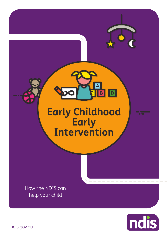**Early Childhood Early Intervention**

**BD** 

How the NDIS can help your child

ndis

ndis.gov.au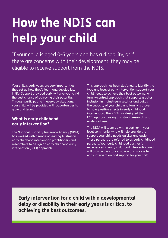## **How the NDIS can help your child**

If your child is aged 0-6 years and has a disability, or if there are concerns with their development, they may be eligible to receive support from the NDIS.

Your child's early years are very important as they set up how they'll learn and develop later in life. Support provided early will give your child the best chance of achieving their potential. Through participating in everyday situations, your child will be provided with opportunities to grow and learn.

#### **What is early childhood early intervention?**

The National Disability Insurance Agency (NDIA) has worked with a range of leading Australian early childhood intervention practitioners and researchers to design an early childhood early intervention (ECEI) approach.

This approach has been designed to identify the type and level of early intervention support your child needs to achieve their best outcome. A family-centred approach that supports greater inclusion in mainstream settings and builds the capacity of your child and family is proven to have positive effects in early childhood intervention. The NDIA has designed the ECEI approach using this strong research and evidence base.

The NDIA will team up with a partner in your local community who will help provide the support your child needs quicker and easier. These partners are referred to as early childhood partners. Your early childhood partner is experienced in early childhood intervention and will provide assistance, advice and access to early intervention and support for your child.

**Early intervention for a child with a developmental delay or disability in their early years is critical to achieving the best outcomes.**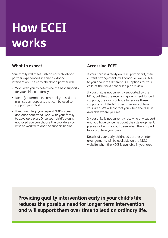### **How ECEI works**

#### **What to expect**

Your family will meet with an early childhood partner experienced in early childhood intervention. The early childhood partner will:

- • Work with you to determine the best supports for your child and family
- Identify information, community-based and mainstream supports that can be used to support your child
- If required, help you request NDIS access and once confirmed, work with your family to develop a plan. Once your child's plan is approved you can choose the providers you wish to work with and the support begins.

### **Accessing ECEI**

If your child is already an NDIS participant, their current arrangements will continue. We will talk to you about the different ECEI options for your child at their next scheduled plan review.

If your child is not currently supported by the NDIS, but they are receiving government funded supports, they will continue to receive these supports until the NDIS becomes available in your area. We will contact you when the NDIS is available where you live.

If your child is not currently receiving any support and you have concerns about their development, please visit ndis.gov.au to see when the NDIS will be available in your area.

Details of your early childhood partner or interim arrangements will be available on the NDIS website when the NDIS is available in your area.

**Providing quality intervention early in your child's life reduces the possible need for longer term intervention and will support them over time to lead an ordinary life.**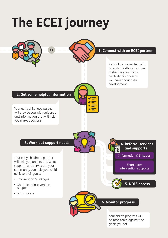# **The ECEI journey**

 $\mathbf{\Sigma}$ 



#### **1. Connect with an ECEI partner**

You will be connected with an early childhood partner to discuss your child's disability or concerns you have about their development.

#### **2. Get some helpful information**

Your early childhood partner will provide you with guidance and information that will help you make decisions.

#### **3. Work out support needs**

Your early childhood partner will help you understand what supports and services in your community can help your child achieve their goals.

- Information & linkages
- Short-term intervention supports
- NDIS access

**4. Referral services and supports**

Information & linkages

Short-term intervention supports



#### **6. Monitor progress**

Your child's progress will be monitored against the goals you set.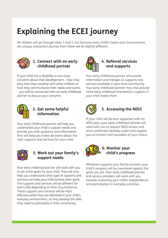### **Explaining the ECEI journey**

All children will go through steps 1 and 2, but because every child's needs and circumstances are unique, everyone's journey from there will be slightly different.



#### **1. Connect with an early childhood partner**

If your child has a disability or you have concerns about their development – how they play, how they socialise with other children or how they communicate their needs and wants – you will be connected with an early childhood partner to discuss your concerns.



#### **2. Get some helpful information**

Your early childhood partner will help you understand your child's support needs and provide you with guidance and information that will help you make decisions about the right supports and services for your child.



#### **3. Work out your family's support needs**

Your early childhood partner will work with you to set some goals for your child. They will also help you understand what type of supports and services can help your child achieve their goals. The supports and services will be different for each child depending on their circumstances. These supports and services will be most effective when they are delivered in your child's everyday environment, so they develop the skills they need to participate in their community.



#### **4. Referral services and supports**

Your early childhood partner will provide information and linkages to supports and services available in your local community. Your early childhood partner may also provide initial early childhood intervention supports if your child needs them.



### **5. Accessing the NDIS**

If your child will be best supported with an NDIS plan, your early childhood partner will work with you to request NDIS access and once confirmed, develop a plan and support you to connect with providers of your choice.



#### **6. Monitor your child's progress**

Whatever supports your family receives, your child's progress will be monitored against the goals you set. Your early childhood partner and service providers will work with you towards improving your child's independence and participation in everyday activities.